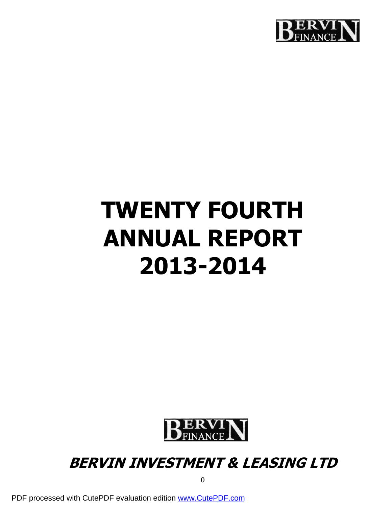

# **TWENTY FOURTH ANNUAL REPORT 2013-2014**



**BERVIN INVESTMENT & LEASING LTD**

PDF processed with CutePDF evaluation edition [www.CutePDF.com](http://www.cutepdf.com)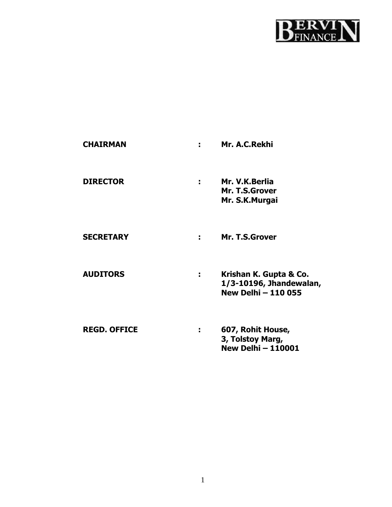

| <b>CHAIRMAN</b>     |     | Mr. A.C.Rekhi                                                                   |
|---------------------|-----|---------------------------------------------------------------------------------|
| <b>DIRECTOR</b>     | ÷.  | Mr. V.K.Berlia<br>Mr. T.S.Grover<br>Mr. S.K.Murgai                              |
| <b>SECRETARY</b>    | ÷   | Mr. T.S.Grover                                                                  |
| <b>AUDITORS</b>     | t i | Krishan K. Gupta & Co.<br>1/3-10196, Jhandewalan,<br><b>New Delhi - 110 055</b> |
| <b>REGD. OFFICE</b> |     | 607, Rohit House,<br>3, Tolstoy Marg,<br><b>New Delhi-110001</b>                |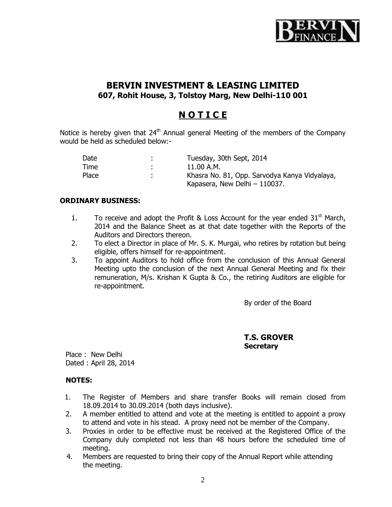

# **BERVIN INVESTMENT & LEASING LIMITED 607, Rohit House, 3, Tolstoy Marg, New Delhi-110 001**

# **N O T I C E**

Notice is hereby given that  $24<sup>th</sup>$  Annual general Meeting of the members of the Company would be held as scheduled below:-

| Date  |                | Tuesday, 30th Sept, 2014                      |
|-------|----------------|-----------------------------------------------|
| Time  |                | 11.00 A.M.                                    |
| Place | $\blacksquare$ | Khasra No. 81, Opp. Sarvodya Kanya Vidyalaya, |
|       |                | Kapasera, New Delhi - 110037.                 |

#### **ORDINARY BUSINESS:**

- 1. To receive and adopt the Profit & Loss Account for the year ended  $31<sup>st</sup>$  March, 2014 and the Balance Sheet as at that date together with the Reports of the Auditors and Directors thereon.
- 2. To elect a Director in place of Mr. S. K. Murgai, who retires by rotation but being eligible, offers himself for re-appointment.
- 3. To appoint Auditors to hold office from the conclusion of this Annual General Meeting upto the conclusion of the next Annual General Meeting and fix their remuneration, M/s. Krishan K Gupta & Co., the retiring Auditors are eligible for re-appointment.

By order of the Board

**T.S. GROVER Secretary**

Place : New Delhi Dated : April 28, 2014

#### **NOTES:**

- 1. The Register of Members and share transfer Books will remain closed from 18.09.2014 to 30.09.2014 (both days inclusive).
- 2. A member entitled to attend and vote at the meeting is entitled to appoint a proxy to attend and vote in his stead. A proxy need not be member of the Company.
- 3. Proxies in order to be effective must be received at the Registered Office of the Company duly completed not less than 48 hours before the scheduled time of meeting.
- 4. Members are requested to bring their copy of the Annual Report while attending the meeting.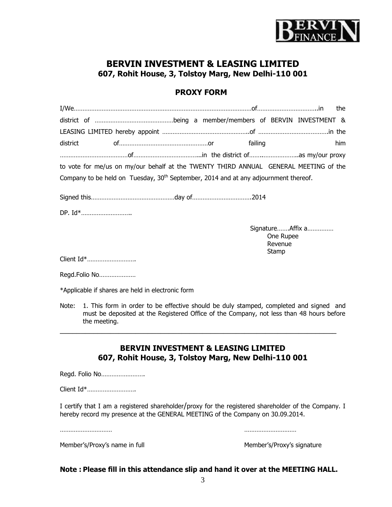

# **BERVIN INVESTMENT & LEASING LIMITED 607, Rohit House, 3, Tolstoy Marg, New Delhi-110 001**

# **PROXY FORM**

|                                                                                       |                                                   | the |
|---------------------------------------------------------------------------------------|---------------------------------------------------|-----|
|                                                                                       |                                                   |     |
|                                                                                       |                                                   |     |
|                                                                                       | failing                                           | him |
|                                                                                       |                                                   |     |
| to vote for me/us on my/our behalf at the TWENTY THIRD ANNUAL GENERAL MEETING of the  |                                                   |     |
| Company to be held on Tuesday, $30th$ September, 2014 and at any adjournment thereof. |                                                   |     |
|                                                                                       |                                                   |     |
|                                                                                       |                                                   |     |
|                                                                                       | SignatureAffix a<br>One Rupee<br>Revenue<br>Stamp |     |
| Client Id*                                                                            |                                                   |     |
| Regd.Folio No                                                                         |                                                   |     |

\*Applicable if shares are held in electronic form

Note: 1. This form in order to be effective should be duly stamped, completed and signed and must be deposited at the Registered Office of the Company, not less than 48 hours before the meeting.

\_\_\_\_\_\_\_\_\_\_\_\_\_\_\_\_\_\_\_\_\_\_\_\_\_\_\_\_\_\_\_\_\_\_\_\_\_\_\_\_\_\_\_\_\_\_\_\_\_\_\_\_\_\_\_\_\_\_\_\_\_\_\_\_\_\_

# **BERVIN INVESTMENT & LEASING LIMITED 607, Rohit House, 3, Tolstoy Marg, New Delhi-110 001**

Regd. Folio No…………………….

Client Id\*……………………….

I certify that I am a registered shareholder/proxy for the registered shareholder of the Company. I hereby record my presence at the GENERAL MEETING of the Company on 30.09.2014.

………………………… …………………………

Member's/Proxy's name in full Member's/Proxy's signature

#### **Note : Please fill in this attendance slip and hand it over at the MEETING HALL.**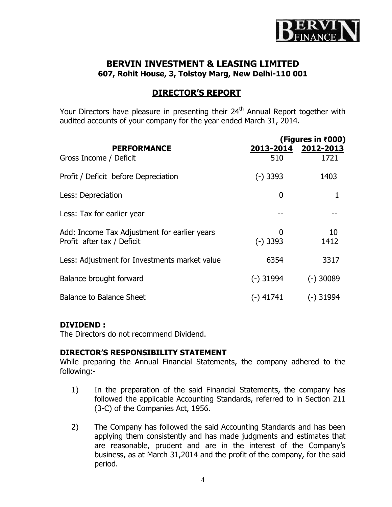

# **BERVIN INVESTMENT & LEASING LIMITED 607, Rohit House, 3, Tolstoy Marg, New Delhi-110 001**

# **DIRECTOR'S REPORT**

Your Directors have pleasure in presenting their 24<sup>th</sup> Annual Report together with audited accounts of your company for the year ended March 31, 2014.

|                                                                            |                 | (Figures in $\bar{\tau}$ 000) |
|----------------------------------------------------------------------------|-----------------|-------------------------------|
| <b>PERFORMANCE</b><br>Gross Income / Deficit                               | 510             | 2013-2014 2012-2013<br>1721   |
| Profit / Deficit before Depreciation                                       | $(-)$ 3393      | 1403                          |
| Less: Depreciation                                                         | 0               | 1                             |
| Less: Tax for earlier year                                                 |                 |                               |
| Add: Income Tax Adjustment for earlier years<br>Profit after tax / Deficit | 0<br>$(-)$ 3393 | 10<br>1412                    |
| Less: Adjustment for Investments market value                              | 6354            | 3317                          |
| Balance brought forward                                                    | $(-)$ 31994     | $(-)$ 30089                   |
| <b>Balance to Balance Sheet</b>                                            | (-) 41741       | (-) 31994                     |

# **DIVIDEND :**

The Directors do not recommend Dividend.

# **DIRECTOR'S RESPONSIBILITY STATEMENT**

While preparing the Annual Financial Statements, the company adhered to the following:-

- 1) In the preparation of the said Financial Statements, the company has followed the applicable Accounting Standards, referred to in Section 211 (3-C) of the Companies Act, 1956.
- 2) The Company has followed the said Accounting Standards and has been applying them consistently and has made judgments and estimates that are reasonable, prudent and are in the interest of the Company's business, as at March 31,2014 and the profit of the company, for the said period.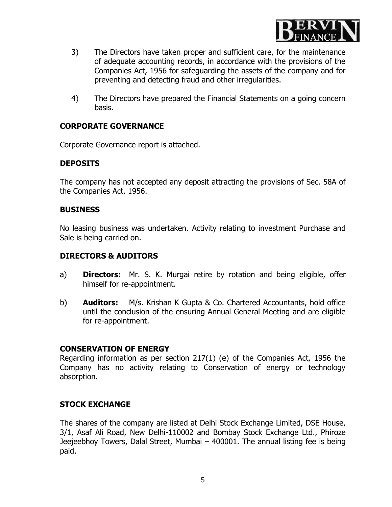

- 3) The Directors have taken proper and sufficient care, for the maintenance of adequate accounting records, in accordance with the provisions of the Companies Act, 1956 for safeguarding the assets of the company and for preventing and detecting fraud and other irregularities.
- 4) The Directors have prepared the Financial Statements on a going concern basis.

# **CORPORATE GOVERNANCE**

Corporate Governance report is attached.

# **DEPOSITS**

The company has not accepted any deposit attracting the provisions of Sec. 58A of the Companies Act, 1956.

# **BUSINESS**

No leasing business was undertaken. Activity relating to investment Purchase and Sale is being carried on.

# **DIRECTORS & AUDITORS**

- a) **Directors:** Mr. S. K. Murgai retire by rotation and being eligible, offer himself for re-appointment.
- b) **Auditors:** M/s. Krishan K Gupta & Co. Chartered Accountants, hold office until the conclusion of the ensuring Annual General Meeting and are eligible for re-appointment.

# **CONSERVATION OF ENERGY**

Regarding information as per section 217(1) (e) of the Companies Act, 1956 the Company has no activity relating to Conservation of energy or technology absorption.

# **STOCK EXCHANGE**

The shares of the company are listed at Delhi Stock Exchange Limited, DSE House, 3/1, Asaf Ali Road, New Delhi-110002 and Bombay Stock Exchange Ltd., Phiroze Jeejeebhoy Towers, Dalal Street, Mumbai – 400001. The annual listing fee is being paid.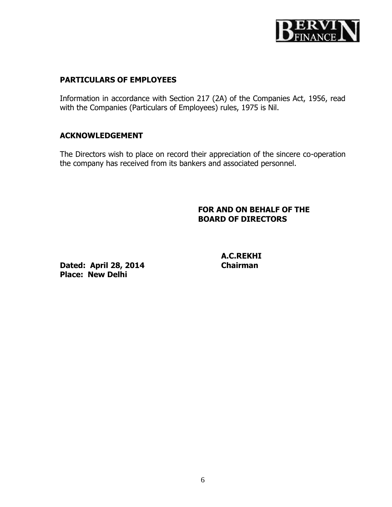

# **PARTICULARS OF EMPLOYEES**

Information in accordance with Section 217 (2A) of the Companies Act, 1956, read with the Companies (Particulars of Employees) rules, 1975 is Nil.

# **ACKNOWLEDGEMENT**

The Directors wish to place on record their appreciation of the sincere co-operation the company has received from its bankers and associated personnel.

# **FOR AND ON BEHALF OF THE BOARD OF DIRECTORS**

**Dated: April 28, 2014 Chairman Place: New Delhi**

**A.C.REKHI**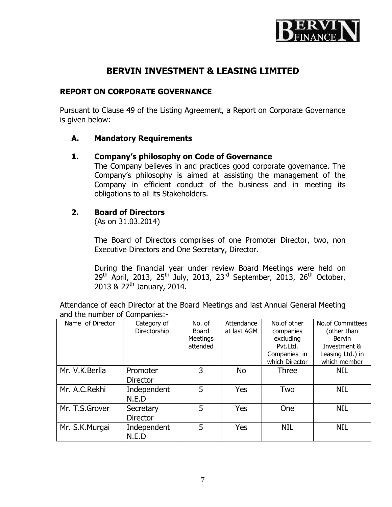

# **BERVIN INVESTMENT & LEASING LIMITED**

# **REPORT ON CORPORATE GOVERNANCE**

Pursuant to Clause 49 of the Listing Agreement, a Report on Corporate Governance is given below:

# **A. Mandatory Requirements**

# **1. Company's philosophy on Code of Governance**

The Company believes in and practices good corporate governance. The Company's philosophy is aimed at assisting the management of the Company in efficient conduct of the business and in meeting its obligations to all its Stakeholders.

# **2. Board of Directors**

(As on 31.03.2014)

The Board of Directors comprises of one Promoter Director, two, non Executive Directors and One Secretary, Director.

During the financial year under review Board Meetings were held on  $29<sup>th</sup>$  April, 2013, 25<sup>th</sup> July, 2013, 23<sup>rd</sup> September, 2013, 26<sup>th</sup> October, 2013 & 27<sup>th</sup> January, 2014.

Attendance of each Director at the Board Meetings and last Annual General Meeting and the number of Companies:-

| Name of Director | Category of     | No. of   | Attendance  | No.of other    | <b>No.of Committees</b> |
|------------------|-----------------|----------|-------------|----------------|-------------------------|
|                  | Directorship    | Board    | at last AGM | companies      | (other than             |
|                  |                 | Meetings |             | excluding      | Bervin                  |
|                  |                 | attended |             | Pvt.Ltd.       | Investment &            |
|                  |                 |          |             | Companies in   | Leasing Ltd.) in        |
|                  |                 |          |             | which Director | which member            |
| Mr. V.K.Berlia   | Promoter        | 3        | <b>No</b>   | <b>Three</b>   | <b>NIL</b>              |
|                  | <b>Director</b> |          |             |                |                         |
| Mr. A.C.Rekhi    | Independent     | 5        | Yes         | Two            | <b>NIL</b>              |
|                  | N.E.D           |          |             |                |                         |
| Mr. T.S.Grover   | Secretary       | 5        | Yes         | <b>One</b>     | <b>NIL</b>              |
|                  | <b>Director</b> |          |             |                |                         |
| Mr. S.K.Murgai   | Independent     | 5        | Yes         | <b>NIL</b>     | <b>NIL</b>              |
|                  | N.E.D           |          |             |                |                         |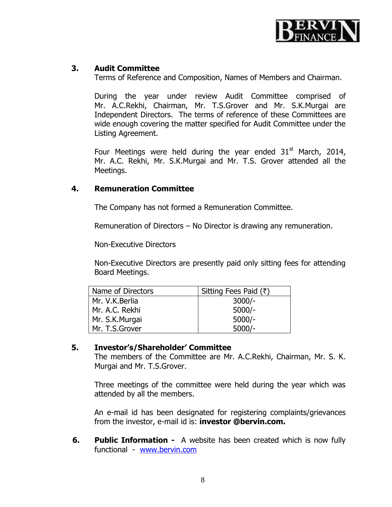

# **3. Audit Committee**

Terms of Reference and Composition, Names of Members and Chairman.

During the year under review Audit Committee comprised of Mr. A.C.Rekhi, Chairman, Mr. T.S.Grover and Mr. S.K.Murgai are Independent Directors. The terms of reference of these Committees are wide enough covering the matter specified for Audit Committee under the Listing Agreement.

Four Meetings were held during the year ended  $31<sup>st</sup>$  March, 2014, Mr. A.C. Rekhi, Mr. S.K.Murgai and Mr. T.S. Grover attended all the Meetings.

# **4. Remuneration Committee**

The Company has not formed a Remuneration Committee.

Remuneration of Directors – No Director is drawing any remuneration.

Non-Executive Directors

Non-Executive Directors are presently paid only sitting fees for attending Board Meetings.

| Name of Directors | Sitting Fees Paid $(3)$ |
|-------------------|-------------------------|
| Mr. V.K.Berlia    | $3000/-$                |
| Mr. A.C. Rekhi    | $5000/-$                |
| Mr. S.K.Murgai    | $5000/-$                |
| Mr. T.S.Grover    | $5000/-$                |

# **5. Investor's/Shareholder' Committee**

The members of the Committee are Mr. A.C.Rekhi, Chairman, Mr. S. K. Murgai and Mr. T.S.Grover.

Three meetings of the committee were held during the year which was attended by all the members.

An e-mail id has been designated for registering complaints/grievances from the investor, e-mail id is: **investor @bervin.com.**

**6. Public Information -** A website has been created which is now fully functional - [www.bervin.com](http://www.bervin.com/)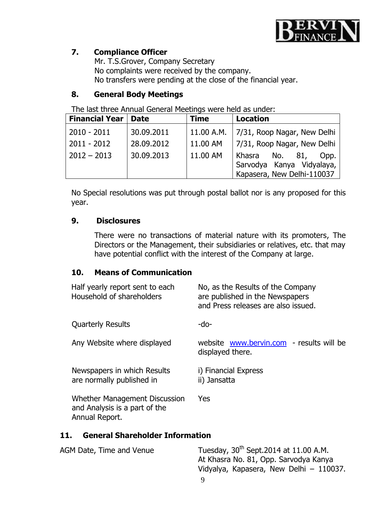

# **7. Compliance Officer**

Mr. T.S.Grover, Company Secretary No complaints were received by the company. No transfers were pending at the close of the financial year.

# **8. General Body Meetings**

The last three Annual General Meetings were held as under:

| <b>Financial Year   Date</b> |            | <b>Time</b> | <b>Location</b>             |
|------------------------------|------------|-------------|-----------------------------|
| $2010 - 2011$                | 30.09.2011 | 11.00 A.M.  | 7/31, Roop Nagar, New Delhi |
| $2011 - 2012$                | 28.09.2012 | 11.00 AM    | 7/31, Roop Nagar, New Delhi |
| $2012 - 2013$                | 30.09.2013 | 11.00 AM    | Khasra No. 81,<br>Opp.      |
|                              |            |             | Sarvodya Kanya Vidyalaya,   |
|                              |            |             | Kapasera, New Delhi-110037  |

No Special resolutions was put through postal ballot nor is any proposed for this year.

# **9. Disclosures**

There were no transactions of material nature with its promoters, The Directors or the Management, their subsidiaries or relatives, etc. that may have potential conflict with the interest of the Company at large.

# **10. Means of Communication**

| Half yearly report sent to each<br>Household of shareholders                     | No, as the Results of the Company<br>are published in the Newspapers<br>and Press releases are also issued. |
|----------------------------------------------------------------------------------|-------------------------------------------------------------------------------------------------------------|
| <b>Quarterly Results</b>                                                         | -do-                                                                                                        |
| Any Website where displayed                                                      | website www.bervin.com - results will be<br>displayed there.                                                |
| Newspapers in which Results<br>are normally published in                         | i) Financial Express<br>ii) Jansatta                                                                        |
| Whether Management Discussion<br>and Analysis is a part of the<br>Annual Report. | Yes                                                                                                         |

# **11. General Shareholder Information**

| AGM Date, Time and Venue | Tuesday, 30 <sup>th</sup> Sept. 2014 at 11.00 A.M. |
|--------------------------|----------------------------------------------------|
|                          | At Khasra No. 81, Opp. Sarvodya Kanya              |
|                          | Vidyalya, Kapasera, New Delhi – 110037.            |
|                          |                                                    |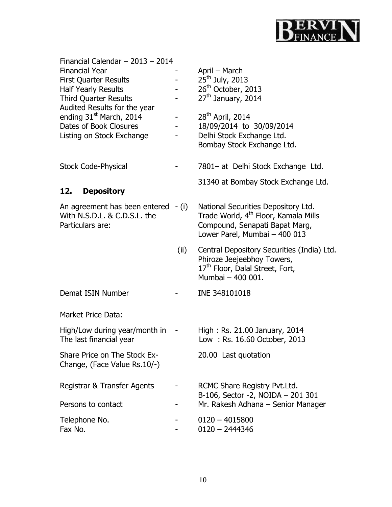

| Financial Calendar $-2013 - 2014$<br><b>Financial Year</b><br><b>First Quarter Results</b><br><b>Half Yearly Results</b><br><b>Third Quarter Results</b><br>Audited Results for the year<br>ending 31 <sup>st</sup> March, 2014<br>Dates of Book Closures<br>Listing on Stock Exchange |      | April - March<br>25 <sup>th</sup> July, 2013<br>26 <sup>th</sup> October, 2013<br>27 <sup>th</sup> January, 2014<br>28 <sup>th</sup> April, 2014<br>18/09/2014 to 30/09/2014<br>Delhi Stock Exchange Ltd.<br>Bombay Stock Exchange Ltd. |
|----------------------------------------------------------------------------------------------------------------------------------------------------------------------------------------------------------------------------------------------------------------------------------------|------|-----------------------------------------------------------------------------------------------------------------------------------------------------------------------------------------------------------------------------------------|
| <b>Stock Code-Physical</b>                                                                                                                                                                                                                                                             |      | 7801- at Delhi Stock Exchange Ltd.                                                                                                                                                                                                      |
| <b>Depository</b><br>12.                                                                                                                                                                                                                                                               |      | 31340 at Bombay Stock Exchange Ltd.                                                                                                                                                                                                     |
| An agreement has been entered $-$ (i)<br>With N.S.D.L. & C.D.S.L. the<br>Particulars are:                                                                                                                                                                                              |      | National Securities Depository Ltd.<br>Trade World, 4 <sup>th</sup> Floor, Kamala Mills<br>Compound, Senapati Bapat Marg,<br>Lower Parel, Mumbai - 400 013                                                                              |
|                                                                                                                                                                                                                                                                                        | (ii) | Central Depository Securities (India) Ltd.<br>Phiroze Jeejeebhoy Towers,<br>17 <sup>th</sup> Floor, Dalal Street, Fort,<br>Mumbai - 400 001.                                                                                            |
| Demat ISIN Number                                                                                                                                                                                                                                                                      |      | INE 348101018                                                                                                                                                                                                                           |
| Market Price Data:                                                                                                                                                                                                                                                                     |      |                                                                                                                                                                                                                                         |
| High/Low during year/month in<br>The last financial year                                                                                                                                                                                                                               |      | High: Rs. 21.00 January, 2014<br>Low: Rs. 16.60 October, 2013                                                                                                                                                                           |
| Share Price on The Stock Ex-<br>Change, (Face Value Rs.10/-)                                                                                                                                                                                                                           |      | 20.00 Last quotation                                                                                                                                                                                                                    |
| Registrar & Transfer Agents                                                                                                                                                                                                                                                            |      | RCMC Share Registry Pvt.Ltd.<br>B-106, Sector -2, NOIDA - 201 301                                                                                                                                                                       |
| Persons to contact                                                                                                                                                                                                                                                                     |      | Mr. Rakesh Adhana - Senior Manager                                                                                                                                                                                                      |
| Telephone No.<br>Fax No.                                                                                                                                                                                                                                                               |      | $0120 - 4015800$<br>$0120 - 2444346$                                                                                                                                                                                                    |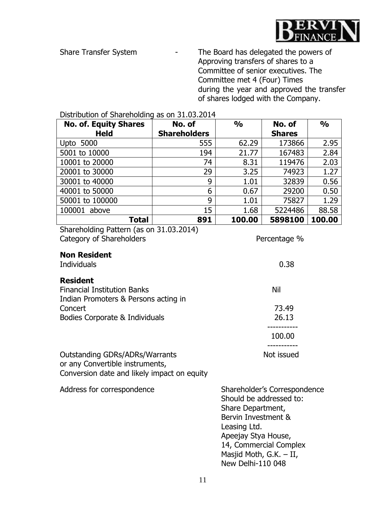

Share Transfer System The Board has delegated the powers of Approving transfers of shares to a Committee of senior executives. The Committee met 4 (Four) Times during the year and approved the transfer of shares lodged with the Company.

| <b>No. of. Equity Shares</b>                                                                                                               | No. of              | $\frac{1}{2}$                                                                                                                                                                                                           | No. of        | $\frac{0}{0}$ |  |  |
|--------------------------------------------------------------------------------------------------------------------------------------------|---------------------|-------------------------------------------------------------------------------------------------------------------------------------------------------------------------------------------------------------------------|---------------|---------------|--|--|
| <b>Held</b>                                                                                                                                | <b>Shareholders</b> |                                                                                                                                                                                                                         | <b>Shares</b> |               |  |  |
| <b>Upto 5000</b>                                                                                                                           | 555                 | 62.29                                                                                                                                                                                                                   | 173866        | 2.95          |  |  |
| 5001 to 10000                                                                                                                              | 194                 | 21.77                                                                                                                                                                                                                   | 2.84          |               |  |  |
| 10001 to 20000                                                                                                                             | 74                  | 8.31                                                                                                                                                                                                                    | 119476        | 2.03          |  |  |
| 20001 to 30000                                                                                                                             | 29                  | 3.25                                                                                                                                                                                                                    | 74923         | 1.27          |  |  |
| 30001 to 40000                                                                                                                             | 9                   | 1.01                                                                                                                                                                                                                    | 32839         | 0.56          |  |  |
| 40001 to 50000                                                                                                                             | 6                   | 0.67                                                                                                                                                                                                                    | 29200         | 0.50          |  |  |
| 50001 to 100000                                                                                                                            | 9                   | 1.01                                                                                                                                                                                                                    | 75827         | 1.29          |  |  |
| 100001 above                                                                                                                               | 15                  | 1.68                                                                                                                                                                                                                    | 5224486       | 88.58         |  |  |
| <b>Total</b>                                                                                                                               | 891                 | 100.00                                                                                                                                                                                                                  | 5898100       | 100.00        |  |  |
| Shareholding Pattern (as on 31.03.2014)<br>Category of Shareholders<br><b>Non Resident</b><br><b>Individuals</b>                           |                     | Percentage %<br>0.38                                                                                                                                                                                                    |               |               |  |  |
| <b>Resident</b><br><b>Financial Institution Banks</b><br>Indian Promoters & Persons acting in<br>Concert<br>Bodies Corporate & Individuals |                     | Nil<br>73.49<br>26.13                                                                                                                                                                                                   |               |               |  |  |
|                                                                                                                                            |                     | 100.00                                                                                                                                                                                                                  |               |               |  |  |
| <b>Outstanding GDRs/ADRs/Warrants</b><br>or any Convertible instruments,<br>Conversion date and likely impact on equity                    |                     | Not issued                                                                                                                                                                                                              |               |               |  |  |
| Address for correspondence                                                                                                                 |                     | Shareholder's Correspondence<br>Should be addressed to:<br>Share Department,<br>Bervin Investment &<br>Leasing Ltd.<br>Apeejay Stya House,<br>14, Commercial Complex<br>Masjid Moth, $G.K. - II$ ,<br>New Delhi-110 048 |               |               |  |  |

Distribution of Shareholding as on 31.03.2014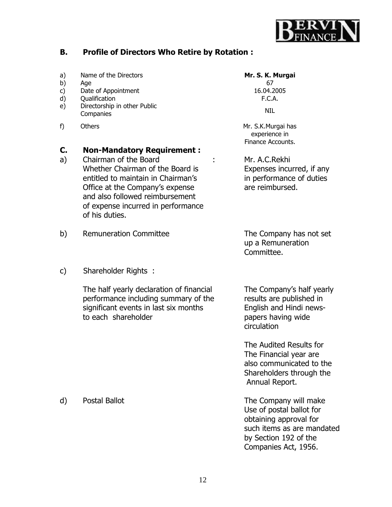

# **B. Profile of Directors Who Retire by Rotation :**

- a) Name of the Directors **Mr. S. K. Murgai**
- b) Age 67
- c) Date of Appointment 16.04.2005
- d) Qualification F.C.A.
- e) Directorship in other Public <u>Companies</u> NIL Companies NIL Companies
- 

# **C. Non-Mandatory Requirement :**

a) Chairman of the Board : Mr. A.C.Rekhi Whether Chairman of the Board is Expenses incurred, if any entitled to maintain in Chairman's in performance of duties Office at the Company's expense are reimbursed. and also followed reimbursement of expense incurred in performance of his duties.

f) Others Mr. S.K.Murgai has experience in Finance Accounts.

b) Remuneration Committee The Company has not set up a Remuneration Committee.

c) Shareholder Rights :

The half yearly declaration of financial The Company's half yearly performance including summary of the results are published in significant events in last six months English and Hindi newsto each shareholder **papers** having wide

circulation

The Audited Results for The Financial year are also communicated to the Shareholders through the Annual Report.

- d) Postal Ballot **The Company will make** Use of postal ballot for obtaining approval for such items as are mandated by Section 192 of the Companies Act, 1956.
-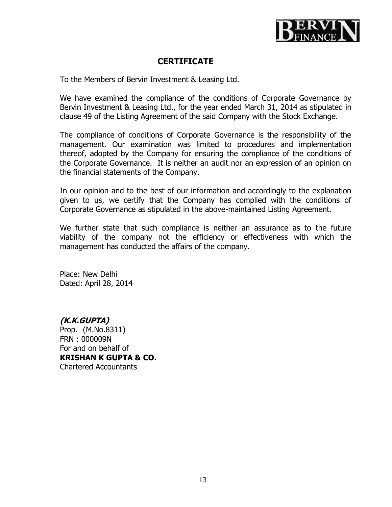

# **CERTIFICATE**

To the Members of Bervin Investment & Leasing Ltd.

We have examined the compliance of the conditions of Corporate Governance by Bervin Investment & Leasing Ltd., for the year ended March 31, 2014 as stipulated in clause 49 of the Listing Agreement of the said Company with the Stock Exchange.

The compliance of conditions of Corporate Governance is the responsibility of the management. Our examination was limited to procedures and implementation thereof, adopted by the Company for ensuring the compliance of the conditions of the Corporate Governance. It is neither an audit nor an expression of an opinion on the financial statements of the Company.

In our opinion and to the best of our information and accordingly to the explanation given to us, we certify that the Company has complied with the conditions of Corporate Governance as stipulated in the above-maintained Listing Agreement.

We further state that such compliance is neither an assurance as to the future viability of the company not the efficiency or effectiveness with which the management has conducted the affairs of the company.

Place: New Delhi Dated: April 28, 2014

**(K.K.GUPTA)** Prop. (M.No.8311) FRN : 000009N For and on behalf of **KRISHAN K GUPTA & CO.** Chartered Accountants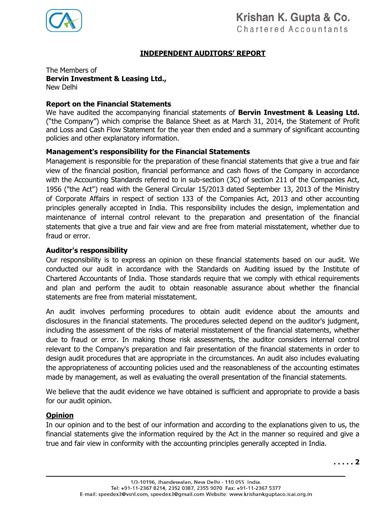

# **INDEPENDENT AUDITORS' REPORT**

The Members of **Bervin Investment & Leasing Ltd.,** New Delhi

#### **Report on the Financial Statements**

We have audited the accompanying financial statements of **Bervin Investment & Leasing Ltd.** ("the Company") which comprise the Balance Sheet as at March 31, 2014, the Statement of Profit and Loss and Cash Flow Statement for the year then ended and a summary of significant accounting policies and other explanatory information.

#### **Management's responsibility for the Financial Statements**

Management is responsible for the preparation of these financial statements that give a true and fair view of the financial position, financial performance and cash flows of the Company in accordance with the Accounting Standards referred to in sub-section (3C) of section 211 of the Companies Act, 1956 ("the Act") read with the General Circular 15/2013 dated September 13, 2013 of the Ministry of Corporate Affairs in respect of section 133 of the Companies Act, 2013 and other accounting principles generally accepted in India. This responsibility includes the design, implementation and maintenance of internal control relevant to the preparation and presentation of the financial statements that give a true and fair view and are free from material misstatement, whether due to fraud or error.

#### **Auditor's responsibility**

Our responsibility is to express an opinion on these financial statements based on our audit. We conducted our audit in accordance with the Standards on Auditing issued by the Institute of Chartered Accountants of India. Those standards require that we comply with ethical requirements and plan and perform the audit to obtain reasonable assurance about whether the financial statements are free from material misstatement.

An audit involves performing procedures to obtain audit evidence about the amounts and disclosures in the financial statements. The procedures selected depend on the auditor's judgment, including the assessment of the risks of material misstatement of the financial statements, whether due to fraud or error. In making those risk assessments, the auditor considers internal control relevant to the Company's preparation and fair presentation of the financial statements in order to design audit procedures that are appropriate in the circumstances. An audit also includes evaluating the appropriateness of accounting policies used and the reasonableness of the accounting estimates made by management, as well as evaluating the overall presentation of the financial statements.

We believe that the audit evidence we have obtained is sufficient and appropriate to provide a basis for our audit opinion.

#### **Opinion**

In our opinion and to the best of our information and according to the explanations given to us, the financial statements give the information required by the Act in the manner so required and give a true and fair view in conformity with the accounting principles generally accepted in India.

**. . . . . 2**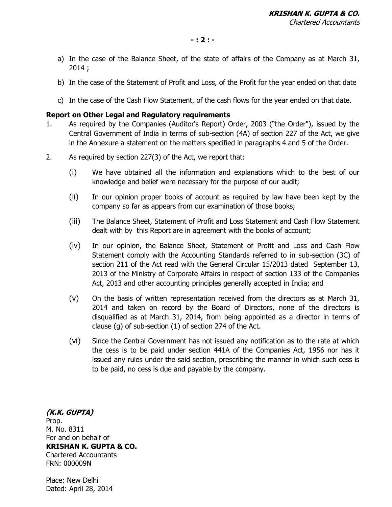- a) In the case of the Balance Sheet, of the state of affairs of the Company as at March 31, 2014 ;
- b) In the case of the Statement of Profit and Loss, of the Profit for the year ended on that date
- c) In the case of the Cash Flow Statement, of the cash flows for the year ended on that date.

#### **Report on Other Legal and Regulatory requirements**

- 1. As required by the Companies (Auditor's Report) Order, 2003 ("the Order"), issued by the Central Government of India in terms of sub-section (4A) of section 227 of the Act, we give in the Annexure a statement on the matters specified in paragraphs 4 and 5 of the Order.
- 2. As required by section 227(3) of the Act, we report that:
	- (i) We have obtained all the information and explanations which to the best of our knowledge and belief were necessary for the purpose of our audit;
	- (ii) In our opinion proper books of account as required by law have been kept by the company so far as appears from our examination of those books;
	- (iii) The Balance Sheet, Statement of Profit and Loss Statement and Cash Flow Statement dealt with by this Report are in agreement with the books of account;
	- (iv) In our opinion, the Balance Sheet, Statement of Profit and Loss and Cash Flow Statement comply with the Accounting Standards referred to in sub-section (3C) of section 211 of the Act read with the General Circular 15/2013 dated September 13, 2013 of the Ministry of Corporate Affairs in respect of section 133 of the Companies Act, 2013 and other accounting principles generally accepted in India; and
	- (v) On the basis of written representation received from the directors as at March 31, 2014 and taken on record by the Board of Directors, none of the directors is disqualified as at March 31, 2014, from being appointed as a director in terms of clause (g) of sub-section (1) of section 274 of the Act.
	- (vi) Since the Central Government has not issued any notification as to the rate at which the cess is to be paid under section 441A of the Companies Act, 1956 nor has it issued any rules under the said section, prescribing the manner in which such cess is to be paid, no cess is due and payable by the company.

#### **(K.K. GUPTA)**  Prop. M. No. 8311 For and on behalf of **KRISHAN K. GUPTA & CO.** Chartered Accountants FRN: 000009N

Place: New Delhi Dated: April 28, 2014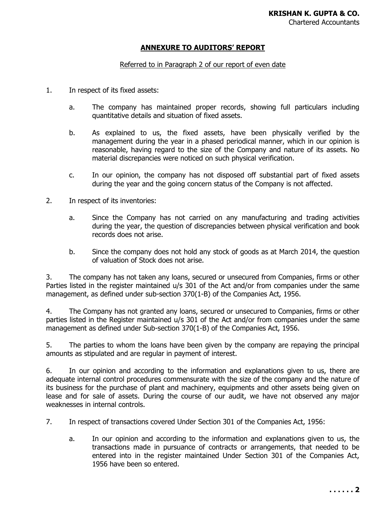# **ANNEXURE TO AUDITORS' REPORT**

#### Referred to in Paragraph 2 of our report of even date

- 1. In respect of its fixed assets:
	- a. The company has maintained proper records, showing full particulars including quantitative details and situation of fixed assets.
	- b. As explained to us, the fixed assets, have been physically verified by the management during the year in a phased periodical manner, which in our opinion is reasonable, having regard to the size of the Company and nature of its assets. No material discrepancies were noticed on such physical verification.
	- c. In our opinion, the company has not disposed off substantial part of fixed assets during the year and the going concern status of the Company is not affected.
- 2. In respect of its inventories:
	- a. Since the Company has not carried on any manufacturing and trading activities during the year, the question of discrepancies between physical verification and book records does not arise.
	- b. Since the company does not hold any stock of goods as at March 2014, the question of valuation of Stock does not arise.

3. The company has not taken any loans, secured or unsecured from Companies, firms or other Parties listed in the register maintained u/s 301 of the Act and/or from companies under the same management, as defined under sub-section 370(1-B) of the Companies Act, 1956.

4. The Company has not granted any loans, secured or unsecured to Companies, firms or other parties listed in the Register maintained u/s 301 of the Act and/or from companies under the same management as defined under Sub-section 370(1-B) of the Companies Act, 1956.

5. The parties to whom the loans have been given by the company are repaying the principal amounts as stipulated and are regular in payment of interest.

6. In our opinion and according to the information and explanations given to us, there are adequate internal control procedures commensurate with the size of the company and the nature of its business for the purchase of plant and machinery, equipments and other assets being given on lease and for sale of assets. During the course of our audit, we have not observed any major weaknesses in internal controls.

- 7. In respect of transactions covered Under Section 301 of the Companies Act, 1956:
	- a. In our opinion and according to the information and explanations given to us, the transactions made in pursuance of contracts or arrangements, that needed to be entered into in the register maintained Under Section 301 of the Companies Act, 1956 have been so entered.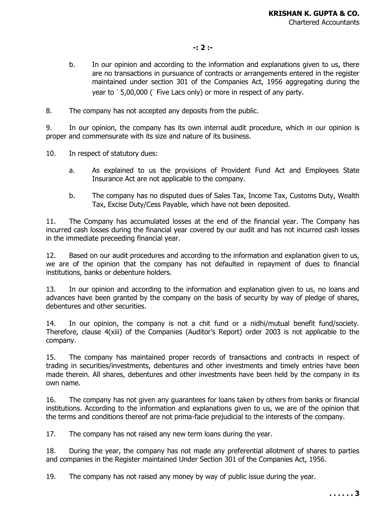#### **-: 2 :-**

- b. In our opinion and according to the information and explanations given to us, there are no transactions in pursuance of contracts or arrangements entered in the register maintained under section 301 of the Companies Act, 1956 aggregating during the year to ` 5,00,000 (` Five Lacs only) or more in respect of any party.
- 8. The company has not accepted any deposits from the public.

9. In our opinion, the company has its own internal audit procedure, which in our opinion is proper and commensurate with its size and nature of its business.

10. In respect of statutory dues:

- a. As explained to us the provisions of Provident Fund Act and Employees State Insurance Act are not applicable to the company.
- b. The company has no disputed dues of Sales Tax, Income Tax, Customs Duty, Wealth Tax, Excise Duty/Cess Payable, which have not been deposited.

11. The Company has accumulated losses at the end of the financial year. The Company has incurred cash losses during the financial year covered by our audit and has not incurred cash losses in the immediate preceeding financial year.

12. Based on our audit procedures and according to the information and explanation given to us, we are of the opinion that the company has not defaulted in repayment of dues to financial institutions, banks or debenture holders.

13. In our opinion and according to the information and explanation given to us, no loans and advances have been granted by the company on the basis of security by way of pledge of shares, debentures and other securities.

14. In our opinion, the company is not a chit fund or a nidhi/mutual benefit fund/society. Therefore, clause 4(xiii) of the Companies (Auditor's Report) order 2003 is not applicable to the company.

15. The company has maintained proper records of transactions and contracts in respect of trading in securities/investments, debentures and other investments and timely entries have been made therein. All shares, debentures and other investments have been held by the company in its own name.

16. The company has not given any guarantees for loans taken by others from banks or financial institutions. According to the information and explanations given to us, we are of the opinion that the terms and conditions thereof are not prima-facie prejudicial to the interests of the company.

17. The company has not raised any new term loans during the year.

18. During the year, the company has not made any preferential allotment of shares to parties and companies in the Register maintained Under Section 301 of the Companies Act, 1956.

19. The company has not raised any money by way of public issue during the year.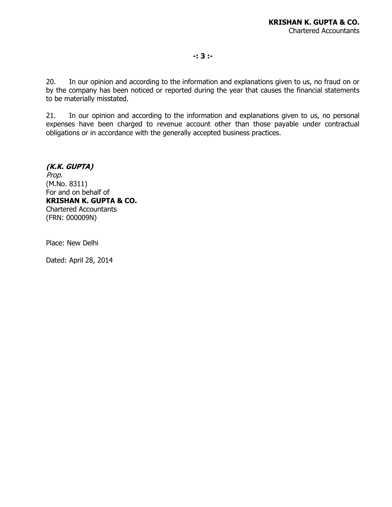**-: 3 :-**

20. In our opinion and according to the information and explanations given to us, no fraud on or by the company has been noticed or reported during the year that causes the financial statements to be materially misstated.

21. In our opinion and according to the information and explanations given to us, no personal expenses have been charged to revenue account other than those payable under contractual obligations or in accordance with the generally accepted business practices.

**(K.K. GUPTA)**  Prop. (M.No. 8311) For and on behalf of **KRISHAN K. GUPTA & CO.** Chartered Accountants (FRN: 000009N)

Place: New Delhi

Dated: April 28, 2014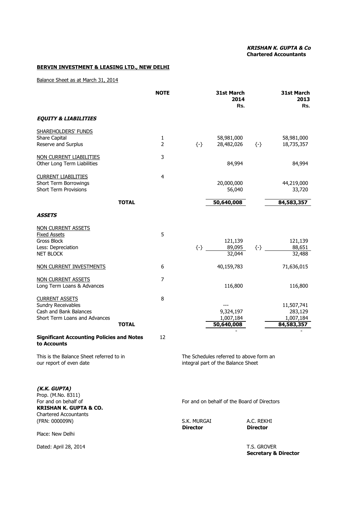#### **Chartered Accountants KRISHAN K. GUPTA & Co.**

#### **BERVIN INVESTMENT & LEASING LTD., NEW DELHI**

Balance Sheet as at March 31, 2014

|                                                                 |              | <b>NOTE</b>         |         | 31st March<br>2014<br>Rs.                 |                | 31st March<br>2013<br>Rs. |
|-----------------------------------------------------------------|--------------|---------------------|---------|-------------------------------------------|----------------|---------------------------|
| <b>EQUITY &amp; LIABILITIES</b>                                 |              |                     |         |                                           |                |                           |
| <b>SHAREHOLDERS' FUNDS</b>                                      |              |                     |         |                                           |                |                           |
| Share Capital<br>Reserve and Surplus                            |              | 1<br>$\overline{2}$ | $\{-\}$ | 58,981,000<br>28,482,026                  | $\{-\}$        | 58,981,000<br>18,735,357  |
| NON CURRENT LIABILITIES                                         |              | 3                   |         |                                           |                |                           |
| Other Long Term Liabilities                                     |              |                     |         | 84,994                                    |                | 84,994                    |
| <b>CURRENT LIABILITIES</b>                                      |              | $\overline{4}$      |         |                                           |                |                           |
| Short Term Borrowings<br><b>Short Term Provisions</b>           |              |                     |         | 20,000,000<br>56,040                      |                | 44,219,000<br>33,720      |
|                                                                 | <b>TOTAL</b> |                     |         | 50,640,008                                |                | 84,583,357                |
| <b>ASSETS</b>                                                   |              |                     |         |                                           |                |                           |
| <b>NON CURRENT ASSETS</b>                                       |              |                     |         |                                           |                |                           |
| <b>Fixed Assets</b><br><b>Gross Block</b>                       |              | 5                   |         | 121,139                                   |                | 121,139                   |
| Less: Depreciation                                              |              |                     |         | $\frac{89,095}{32,044}$<br>$\{\text{-}\}$ | $\{\text{-}\}$ | 88,651                    |
| <b>NET BLOCK</b>                                                |              |                     |         |                                           |                | 32,488                    |
| NON CURRENT INVESTMENTS                                         |              | 6                   |         | 40,159,783                                |                | 71,636,015                |
| <b>NON CURRENT ASSETS</b>                                       |              | $\overline{7}$      |         |                                           |                |                           |
| Long Term Loans & Advances                                      |              |                     |         | 116,800                                   |                | 116,800                   |
| <b>CURRENT ASSETS</b>                                           |              | 8                   |         |                                           |                |                           |
| <b>Sundry Receivables</b><br>Cash and Bank Balances             |              |                     |         | 9,324,197                                 |                | 11,507,741<br>283,129     |
| Short Term Loans and Advances                                   |              |                     |         | 1,007,184                                 |                | 1,007,184                 |
|                                                                 | <b>TOTAL</b> |                     |         | 50,640,008                                |                | 84,583,357                |
| <b>Significant Accounting Policies and Notes</b><br>to Accounts |              | 12                  |         |                                           |                |                           |

This is the Balance Sheet referred to in The Schedules referred to above form an our report of even date  $\qquad$  integral part of the Balance Sheet integral part of the Balance Sheet

| (K.K. GUPTA)<br>Prop. (M.No. 8311)<br>For and on behalf of                          | For and on behalf of the Board of Directors |                 |
|-------------------------------------------------------------------------------------|---------------------------------------------|-----------------|
| <b>KRISHAN K. GUPTA &amp; CO.</b><br><b>Chartered Accountants</b><br>(FRN: 000009N) | S.K. MURGAI                                 | A.C. REKHI      |
| Place: New Delhi                                                                    | <b>Director</b>                             | <b>Director</b> |
|                                                                                     |                                             |                 |

Dated: April 28, 2014 T.S. GROVER **Secretary & Director**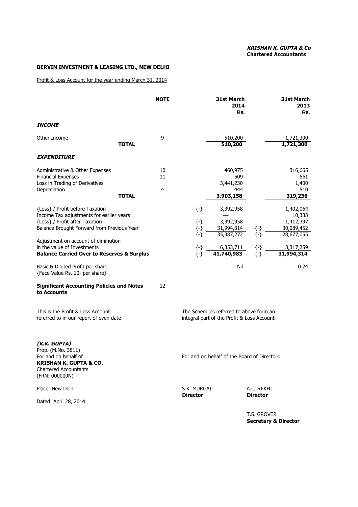#### **Chartered Accountants KRISHAN K. GUPTA & Co.**

#### **BERVIN INVESTMENT & LEASING LTD., NEW DELHI**

Profit & Loss Account for the year ending March 31, 2014

|                                                                                                                                                                                                                                                                               |              | <b>NOTE</b>   |                                                    | 31st March<br>2014<br>Rs.                                                               |                                                       | 31st March<br>2013<br>Rs.                                                                   |
|-------------------------------------------------------------------------------------------------------------------------------------------------------------------------------------------------------------------------------------------------------------------------------|--------------|---------------|----------------------------------------------------|-----------------------------------------------------------------------------------------|-------------------------------------------------------|---------------------------------------------------------------------------------------------|
| <b>INCOME</b>                                                                                                                                                                                                                                                                 |              |               |                                                    |                                                                                         |                                                       |                                                                                             |
| Other Income                                                                                                                                                                                                                                                                  | <b>TOTAL</b> | 9             |                                                    | 510,200<br>510,200                                                                      |                                                       | 1,721,300<br>1,721,300                                                                      |
| <i><b>EXPENDITURE</b></i>                                                                                                                                                                                                                                                     |              |               |                                                    |                                                                                         |                                                       |                                                                                             |
| Administrative & Other Expenses<br><b>Financial Expenses</b><br>Loss in Trading of Derivatives<br>Depreciation<br>{Loss} / Profit before Taxation<br>Income Tax adjustments for earlier years<br>{Loss} / Profit after Taxation<br>Balance Brought Forward from Previous Year | <b>TOTAL</b> | 10<br>11<br>4 | $\{\text{-}\}$<br>$\{\text{-}\}$<br>$\{\text{-}\}$ | 460,975<br>509<br>3,441,230<br>444<br>3,903,158<br>3,392,958<br>3,392,958<br>31,994,314 | {-}                                                   | 316,665<br>661<br>1,400<br>510<br>319,236<br>1,402,064<br>10,333<br>1,412,397<br>30,089,452 |
| Adjustment on account of diminution<br>in the value of Investments<br><b>Balance Carried Over to Reserves &amp; Surplus</b>                                                                                                                                                   |              |               | $\{\text{-}\}$<br>$\{\text{-}\}$<br>$\{\text{-}\}$ | 35,387,272<br>6,353,711<br>41,740,983                                                   | $\{\text{-}\}$<br>$\{\text{-}\}$<br>$\{\text{-}\}$    | 28,677,055<br>3,317,259<br>31,994,314                                                       |
| Basic & Diluted Profit per share<br>{Face Value Rs. 10- per share}                                                                                                                                                                                                            |              |               |                                                    | Nil                                                                                     |                                                       | 0.24                                                                                        |
| <b>Significant Accounting Policies and Notes</b><br>to Accounts                                                                                                                                                                                                               |              | 12            |                                                    |                                                                                         |                                                       |                                                                                             |
| This is the Profit & Loss Account<br>referred to in our report of even date                                                                                                                                                                                                   |              |               |                                                    | The Schedules referred to above form an<br>integral part of the Profit & Loss Account   |                                                       |                                                                                             |
| (K.K. GUPTA)<br>Prop. (M.No. 3811)<br>For and on behalf of<br><b>KRISHAN K. GUPTA &amp; CO.</b><br><b>Chartered Accountants</b><br>(FRN: 000009N)                                                                                                                             |              |               |                                                    | For and on behalf of the Board of Directors                                             |                                                       |                                                                                             |
| Place: New Delhi                                                                                                                                                                                                                                                              |              |               | S.K. MURGAI<br><b>Director</b>                     |                                                                                         | A.C. REKHI<br><b>Director</b>                         |                                                                                             |
| Dated: April 28, 2014                                                                                                                                                                                                                                                         |              |               |                                                    |                                                                                         |                                                       |                                                                                             |
|                                                                                                                                                                                                                                                                               |              |               |                                                    |                                                                                         | <b>T.S. GROVER</b><br><b>Secretary &amp; Director</b> |                                                                                             |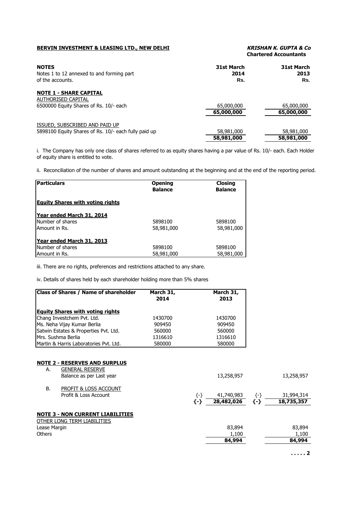#### **Chartered Accountants KRISHAN K. GUPTA & Co.**

| <b>NOTES</b>                                                                                         | 31st March               | 31st March               |
|------------------------------------------------------------------------------------------------------|--------------------------|--------------------------|
| Notes 1 to 12 annexed to and forming part                                                            | 2014                     | 2013                     |
| of the accounts.                                                                                     | Rs.                      | Rs.                      |
| <b>NOTE 1 - SHARE CAPITAL</b><br><b>AUTHORISED CAPITAL</b><br>6500000 Equity Shares of Rs. 10/- each | 65,000,000<br>65,000,000 | 65,000,000<br>65,000,000 |
| ISSUED, SUBSCRIBED AND PAID UP                                                                       | 58,981,000               | 58,981,000               |
| 5898100 Equity Shares of Rs. 10/- each fully paid up                                                 | 58,981,000               | 58,981,000               |

i. The Company has only one class of shares referred to as equity shares having a par value of Rs. 10/- each. Each Holder of equity share is entitled to vote.

ii. Reconciliation of the number of shares and amount outstanding at the beginning and at the end of the reporting period.

| <b>Particulars</b>                      | <b>Opening</b><br><b>Balance</b> | <b>Closing</b><br><b>Balance</b> |
|-----------------------------------------|----------------------------------|----------------------------------|
| <b>Equity Shares with voting rights</b> |                                  |                                  |
| Year ended March 31, 2014               |                                  |                                  |
| Number of shares                        | 5898100                          | 5898100                          |
| Amount in Rs.                           | 58,981,000                       | 58,981,000                       |
| Year ended March 31, 2013               |                                  |                                  |
| Number of shares                        | 5898100                          | 5898100                          |
| Amount in Rs.                           | 58,981,000                       | 58,981,000                       |

iii. There are no rights, preferences and restrictions attached to any share.

iv. Details of shares held by each shareholder holding more than 5% shares

| <b>Class of Shares / Name of shareholder</b>                                                                                                                    | March 31,<br>2014 | March 31,<br>2013                                                |                               |                                        |
|-----------------------------------------------------------------------------------------------------------------------------------------------------------------|-------------------|------------------------------------------------------------------|-------------------------------|----------------------------------------|
| <b>Equity Shares with voting rights</b>                                                                                                                         |                   |                                                                  |                               |                                        |
| Chang Investchem Pvt. Ltd.                                                                                                                                      | 1430700           | 1430700                                                          |                               |                                        |
| Ms. Neha Vijay Kumar Berlia                                                                                                                                     | 909450            | 909450                                                           |                               |                                        |
| Satwin Estates & Properties Pvt. Ltd.                                                                                                                           | 560000            | 560000                                                           |                               |                                        |
| Mrs. Sushma Berlia                                                                                                                                              | 1316610           | 1316610                                                          |                               |                                        |
| Martin & Harris Laboratories Pvt. Ltd.                                                                                                                          | 580000            | 580000                                                           |                               |                                        |
| <b>NOTE 2 - RESERVES AND SURPLUS</b><br><b>GENERAL RESERVE</b><br>А.<br>Balance as per Last year<br><b>B.</b><br>PROFIT & LOSS ACCOUNT<br>Profit & Loss Account |                   | 13,258,957<br>41,740,983<br>$\{\cdot\}$<br>28,482,026<br>$\{-\}$ | $\{\text{-}\}$<br>$\{\cdot\}$ | 13,258,957<br>31,994,314<br>18,735,357 |
| <b>NOTE 3 - NON CURRENT LIABILITIES</b><br>OTHER LONG TERM LIABILITIES                                                                                          |                   |                                                                  |                               |                                        |
| Lease Margin                                                                                                                                                    |                   | 83,894                                                           |                               | 83,894                                 |
| Others                                                                                                                                                          |                   | 1,100                                                            |                               | 1,100                                  |
|                                                                                                                                                                 |                   | 84,994                                                           |                               | 84,994                                 |
|                                                                                                                                                                 |                   |                                                                  |                               |                                        |

**. . . . . 2**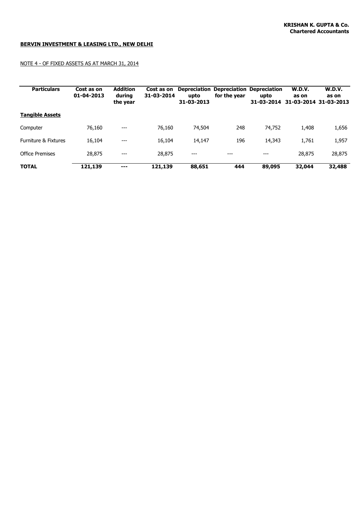#### NOTE 4 - OF FIXED ASSETS AS AT MARCH 31, 2014

| <b>Particulars</b>     | Cost as on<br>01-04-2013 | <b>Addition</b><br>during<br>the year | Cost as on<br>31-03-2014 | upto<br>31-03-2013 | for the year | <b>Depreciation Depreciation Depreciation</b><br>upto<br>31-03-2014 | <b>W.D.V.</b><br>as on | <b>W.D.V.</b><br>as on<br>31-03-2014 31-03-2013 |
|------------------------|--------------------------|---------------------------------------|--------------------------|--------------------|--------------|---------------------------------------------------------------------|------------------------|-------------------------------------------------|
| <b>Tangible Assets</b> |                          |                                       |                          |                    |              |                                                                     |                        |                                                 |
| Computer               | 76,160                   | $---$                                 | 76,160                   | 74,504             | 248          | 74,752                                                              | 1,408                  | 1,656                                           |
| Furniture & Fixtures   | 16,104                   | $---$                                 | 16,104                   | 14,147             | 196          | 14,343                                                              | 1,761                  | 1,957                                           |
| <b>Office Premises</b> | 28,875                   | $---$                                 | 28,875                   | $---$              | ---          | ---                                                                 | 28,875                 | 28,875                                          |
| <b>TOTAL</b>           | 121,139                  | $---$                                 | 121,139                  | 88,651             | 444          | 89,095                                                              | 32,044                 | 32,488                                          |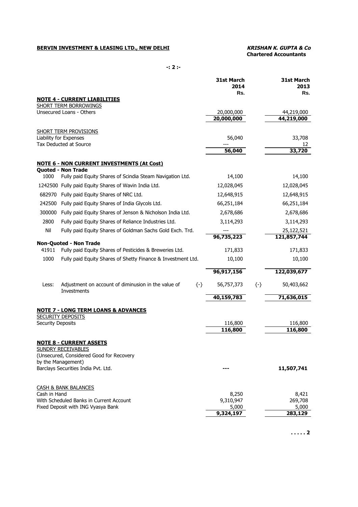#### **Chartered Accountants KRISHAN K. GUPTA & Co.**

**-: 2 :-**

|                          |                                                                                          | <b>31st March</b><br>2014<br>Rs. |         | 31st March<br>2013<br>Rs. |
|--------------------------|------------------------------------------------------------------------------------------|----------------------------------|---------|---------------------------|
|                          | <b>NOTE 4 - CURRENT LIABILITIES</b>                                                      |                                  |         |                           |
|                          | <b>SHORT TERM BORROWINGS</b><br>Unsecured Loans - Others                                 | 20,000,000                       |         | 44,219,000                |
|                          |                                                                                          | 20,000,000                       |         | 44,219,000                |
|                          | <b>SHORT TERM PROVISIONS</b>                                                             |                                  |         |                           |
|                          | Liability for Expenses                                                                   | 56,040                           |         | 33,708                    |
|                          | Tax Deducted at Source                                                                   | 56,040                           |         | 12<br>33,720              |
|                          |                                                                                          |                                  |         |                           |
|                          | <b>NOTE 6 - NON CURRENT INVESTMENTS (At Cost)</b><br><b>Quoted - Non Trade</b>           |                                  |         |                           |
| 1000                     | Fully paid Equity Shares of Scindia Steam Navigation Ltd.                                | 14,100                           |         | 14,100                    |
|                          | 1242500 Fully paid Equity Shares of Wavin India Ltd.                                     | 12,028,045                       |         | 12,028,045                |
| 682970                   | Fully paid Equity Shares of NRC Ltd.                                                     | 12,648,915                       |         | 12,648,915                |
|                          | 242500 Fully paid Equity Shares of India Glycols Ltd.                                    | 66,251,184                       |         | 66,251,184                |
| 300000                   | Fully paid Equity Shares of Jenson & Nicholson India Ltd.                                | 2,678,686                        |         | 2,678,686                 |
| 2800                     | Fully paid Equity Shares of Reliance Industries Ltd.                                     | 3,114,293                        |         | 3,114,293                 |
| Nil                      | Fully paid Equity Shares of Goldman Sachs Gold Exch. Trd.                                |                                  |         | 25,122,521                |
|                          |                                                                                          | 96,735,223                       |         | 121,857,744               |
| 41911                    | <b>Non-Quoted - Non Trade</b><br>Fully paid Equity Shares of Pesticides & Breweries Ltd. | 171,833                          |         | 171,833                   |
| 1000                     | Fully paid Equity Shares of Shetty Finance & Investment Ltd.                             | 10,100                           |         | 10,100                    |
|                          |                                                                                          |                                  |         |                           |
|                          |                                                                                          | 96,917,156                       |         | 122,039,677               |
| Less:                    | Adjustment on account of diminusion in the value of<br>$\{\text{-}\}$                    | 56,757,373                       | $\{-\}$ | 50,403,662                |
|                          | Investments                                                                              |                                  |         |                           |
|                          |                                                                                          | 40,159,783                       |         | 71,636,015                |
|                          | <b>NOTE 7 - LONG TERM LOANS &amp; ADVANCES</b>                                           |                                  |         |                           |
| <b>Security Deposits</b> | SECURITY DEPOSITS                                                                        | 116,800                          |         | 116,800                   |
|                          |                                                                                          | 116,800                          |         | 116,800                   |
|                          |                                                                                          |                                  |         |                           |
|                          | <b>NOTE 8 - CURRENT ASSETS</b><br><u>SUNDRY RECEIVABLES</u>                              |                                  |         |                           |
|                          | (Unsecured, Considered Good for Recovery                                                 |                                  |         |                           |
|                          | by the Management)<br>Barclays Securities India Pvt. Ltd.                                |                                  |         | 11,507,741                |
|                          |                                                                                          |                                  |         |                           |
|                          | <b>CASH &amp; BANK BALANCES</b>                                                          |                                  |         |                           |
| Cash in Hand             |                                                                                          | 8,250                            |         | 8,421                     |
|                          | With Scheduled Banks in Current Account<br>Fixed Deposit with ING Vyasya Bank            | 9,310,947<br>5,000               |         | 269,708<br>5,000          |
|                          |                                                                                          | 9,324,197                        |         | 283,129                   |

**. . . . . 2**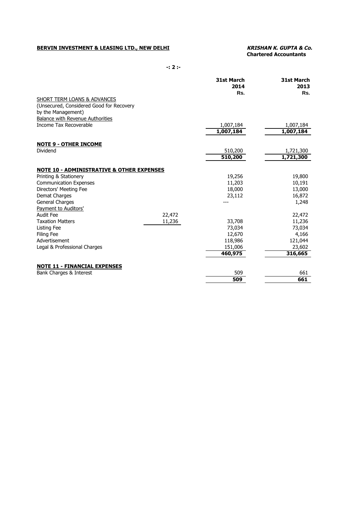#### **BERVIN INVESTMENT & LEASING LTD., NEW DELHI<br>
<b>KRISHAN K.** GUPTA & Co.

# **Chartered Accountants**

**-: 2 :-**

|                                                      |        | 31st March<br>2014<br>Rs. | <b>31st March</b><br>2013<br>Rs. |
|------------------------------------------------------|--------|---------------------------|----------------------------------|
| SHORT TERM LOANS & ADVANCES                          |        |                           |                                  |
| (Unsecured, Considered Good for Recovery             |        |                           |                                  |
| by the Management)                                   |        |                           |                                  |
| <b>Balance with Revenue Authorities</b>              |        |                           |                                  |
| Income Tax Recoverable                               |        | 1,007,184                 | 1,007,184                        |
|                                                      |        | 1,007,184                 | 1,007,184                        |
| <b>NOTE 9 - OTHER INCOME</b>                         |        |                           |                                  |
| Dividend                                             |        | 510,200                   | 1,721,300                        |
|                                                      |        | $\overline{510,200}$      | 1,721,300                        |
| <b>NOTE 10 - ADMINISTRATIVE &amp; OTHER EXPENSES</b> |        |                           |                                  |
| Printing & Stationery                                |        | 19,256                    | 19,800                           |
| <b>Communication Expenses</b>                        |        | 11,203                    | 10,191                           |
| Directors' Meeting Fee                               |        | 18,000                    | 13,000                           |
| Demat Charges                                        |        | 23,112                    | 16,872                           |
| General Charges                                      |        |                           | 1,248                            |
| Payment to Auditors'                                 |        |                           |                                  |
| Audit Fee                                            | 22,472 |                           | 22,472                           |
| <b>Taxation Matters</b>                              | 11,236 | 33,708                    | 11,236                           |
| Listing Fee                                          |        | 73,034                    | 73,034                           |
| <b>Filing Fee</b>                                    |        | 12,670                    | 4,166                            |
| Advertisement                                        |        | 118,986                   | 121,044                          |
| Legal & Professional Charges                         |        | 151,006                   | 23,602                           |
|                                                      |        | 460,975                   | 316,665                          |
| <b>NOTE 11 - FINANCIAL EXPENSES</b>                  |        |                           |                                  |
| Bank Charges & Interest                              |        | 509                       | 661                              |
|                                                      |        | 509                       | 661                              |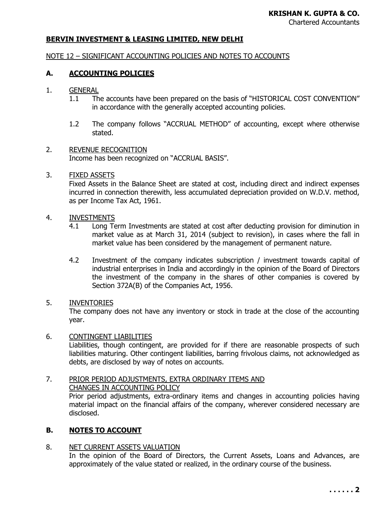#### NOTE 12 – SIGNIFICANT ACCOUNTING POLICIES AND NOTES TO ACCOUNTS

#### **A. ACCOUNTING POLICIES**

#### 1. GENERAL

- 1.1 The accounts have been prepared on the basis of "HISTORICAL COST CONVENTION" in accordance with the generally accepted accounting policies.
- 1.2 The company follows "ACCRUAL METHOD" of accounting, except where otherwise stated.

#### 2. REVENUE RECOGNITION Income has been recognized on "ACCRUAL BASIS".

#### 3. FIXED ASSETS

Fixed Assets in the Balance Sheet are stated at cost, including direct and indirect expenses incurred in connection therewith, less accumulated depreciation provided on W.D.V. method, as per Income Tax Act, 1961.

#### 4. INVESTMENTS

- 4.1 Long Term Investments are stated at cost after deducting provision for diminution in market value as at March 31, 2014 (subject to revision), in cases where the fall in market value has been considered by the management of permanent nature.
- 4.2 Investment of the company indicates subscription / investment towards capital of industrial enterprises in India and accordingly in the opinion of the Board of Directors the investment of the company in the shares of other companies is covered by Section 372A(B) of the Companies Act, 1956.

#### 5. INVENTORIES

The company does not have any inventory or stock in trade at the close of the accounting year.

#### 6. CONTINGENT LIABILITIES

Liabilities, though contingent, are provided for if there are reasonable prospects of such liabilities maturing. Other contingent liabilities, barring frivolous claims, not acknowledged as debts, are disclosed by way of notes on accounts.

#### 7. PRIOR PERIOD ADJUSTMENTS, EXTRA ORDINARY ITEMS AND CHANGES IN ACCOUNTING POLICY Prior period adjustments, extra-ordinary items and changes in accounting policies having material impact on the financial affairs of the company, wherever considered necessary are disclosed.

#### **B. NOTES TO ACCOUNT**

#### 8. NET CURRENT ASSETS VALUATION

In the opinion of the Board of Directors, the Current Assets, Loans and Advances, are approximately of the value stated or realized, in the ordinary course of the business.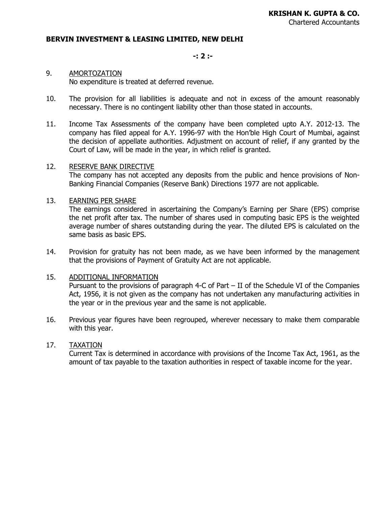**-: 2 :-**

#### 9. AMORTOZATION No expenditure is treated at deferred revenue.

- 10. The provision for all liabilities is adequate and not in excess of the amount reasonably necessary. There is no contingent liability other than those stated in accounts.
- 11. Income Tax Assessments of the company have been completed upto A.Y. 2012-13. The company has filed appeal for A.Y. 1996-97 with the Hon'ble High Court of Mumbai, against the decision of appellate authorities. Adjustment on account of relief, if any granted by the Court of Law, will be made in the year, in which relief is granted.

#### 12. RESERVE BANK DIRECTIVE

The company has not accepted any deposits from the public and hence provisions of Non-Banking Financial Companies (Reserve Bank) Directions 1977 are not applicable.

#### 13. EARNING PER SHARE

The earnings considered in ascertaining the Company's Earning per Share (EPS) comprise the net profit after tax. The number of shares used in computing basic EPS is the weighted average number of shares outstanding during the year. The diluted EPS is calculated on the same basis as basic EPS.

14. Provision for gratuity has not been made, as we have been informed by the management that the provisions of Payment of Gratuity Act are not applicable.

#### 15. ADDITIONAL INFORMATION

Pursuant to the provisions of paragraph 4-C of Part – II of the Schedule VI of the Companies Act, 1956, it is not given as the company has not undertaken any manufacturing activities in the year or in the previous year and the same is not applicable.

16. Previous year figures have been regrouped, wherever necessary to make them comparable with this year.

#### 17. TAXATION

Current Tax is determined in accordance with provisions of the Income Tax Act, 1961, as the amount of tax payable to the taxation authorities in respect of taxable income for the year.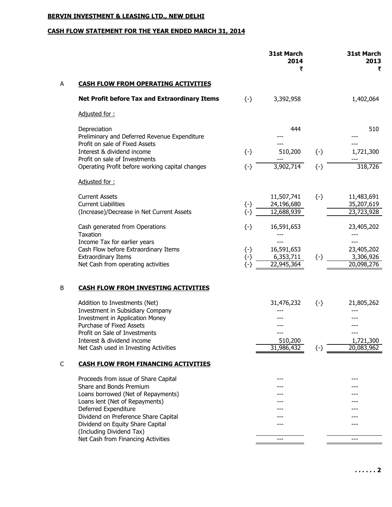#### **CASH FLOW STATEMENT FOR THE YEAR ENDED MARCH 31, 2014**

|   |                                                                                                                                                                                                                                                                                                               |                                      | 31st March<br>2014<br>₹                |                       | 31st March<br>2013<br>₹                |
|---|---------------------------------------------------------------------------------------------------------------------------------------------------------------------------------------------------------------------------------------------------------------------------------------------------------------|--------------------------------------|----------------------------------------|-----------------------|----------------------------------------|
| A | <b>CASH FLOW FROM OPERATING ACTIVITIES</b>                                                                                                                                                                                                                                                                    |                                      |                                        |                       |                                        |
|   | <b>Net Profit before Tax and Extraordinary Items</b>                                                                                                                                                                                                                                                          | $\{\cdot\}$                          | 3,392,958                              |                       | 1,402,064                              |
|   | Adjusted for:                                                                                                                                                                                                                                                                                                 |                                      |                                        |                       |                                        |
|   | Depreciation<br>Preliminary and Deferred Revenue Expenditure<br>Profit on sale of Fixed Assets                                                                                                                                                                                                                |                                      | 444                                    |                       | 510                                    |
|   | Interest & dividend income                                                                                                                                                                                                                                                                                    | $\{\cdot\}$                          | 510,200                                | $\{\text{-}\}$        | 1,721,300                              |
|   | Profit on sale of Investments<br>Operating Profit before working capital changes                                                                                                                                                                                                                              | $\{\cdot\}$                          | 3,902,714                              | $\{\text{-}\}$        | 318,726                                |
|   | Adjusted for:                                                                                                                                                                                                                                                                                                 |                                      |                                        |                       |                                        |
|   | <b>Current Assets</b><br><b>Current Liabilities</b><br>(Increase)/Decrease in Net Current Assets                                                                                                                                                                                                              | $\{\cdot\}$<br>{-}                   | 11,507,741<br>24,196,680<br>12,688,939 | $\{-\}$               | 11,483,691<br>35,207,619<br>23,723,928 |
|   | Cash generated from Operations<br>Taxation<br>Income Tax for earlier years                                                                                                                                                                                                                                    | $\{\cdot\}$                          | 16,591,653<br>---<br>$---$             |                       | 23,405,202<br>---<br>---               |
|   | Cash Flow before Extraordinary Items<br><b>Extraordinary Items</b><br>Net Cash from operating activities                                                                                                                                                                                                      | $\{\cdot\}$<br>$\{\text{-}\}$<br>{-} | 16,591,653<br>6,353,711<br>22,945,364  | $\{\cdot\}$           | 23,405,202<br>3,306,926<br>20,098,276  |
| B | CASH FLOW FROM INVESTING ACTIVITIES                                                                                                                                                                                                                                                                           |                                      |                                        |                       |                                        |
|   | Addition to Investments (Net)<br>Investment in Subsidiary Company<br><b>Investment in Application Money</b><br>Purchase of Fixed Assets<br>Profit on Sale of Investments<br>Interest & dividend income<br>Net Cash used in Investing Activities                                                               |                                      | 31,476,232<br>510,200<br>31,986,432    | $\{\text{-}\}$<br>{-} | 21,805,262<br>1,721,300<br>20,083,962  |
| C | <b>CASH FLOW FROM FINANCING ACTIVITIES</b>                                                                                                                                                                                                                                                                    |                                      |                                        |                       |                                        |
|   | Proceeds from issue of Share Capital<br>Share and Bonds Premium<br>Loans borrowed (Net of Repayments)<br>Loans lent (Net of Repayments)<br>Deferred Expenditure<br>Dividend on Preference Share Capital<br>Dividend on Equity Share Capital<br>(Including Dividend Tax)<br>Net Cash from Financing Activities |                                      | ---                                    |                       | $---$                                  |

**. . . . . . 2**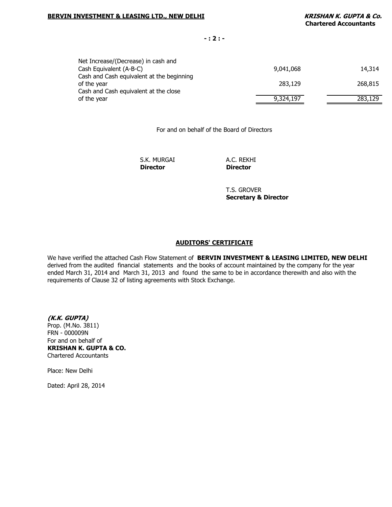**- : 2 : -** 

| Net Increase/(Decrease) in cash and       |           |         |
|-------------------------------------------|-----------|---------|
| Cash Equivalent (A-B-C)                   | 9,041,068 | 14,314  |
| Cash and Cash equivalent at the beginning |           |         |
| of the year                               | 283,129   | 268,815 |
| Cash and Cash equivalent at the close     |           |         |
| of the year                               | 9,324,197 | 283,129 |

For and on behalf of the Board of Directors

S.K. MURGAI A.C. REKHI **Director Director**

T.S. GROVER **Secretary & Director**

#### **AUDITORS' CERTIFICATE**

requirements of Clause 32 of listing agreements with Stock Exchange. We have verified the attached Cash Flow Statement of **BERVIN INVESTMENT & LEASING LIMITED, NEW DELHI**  derived from the audited financial statements and the books of account maintained by the company for the year ended March 31, 2014 and March 31, 2013 and found the same to be in accordance therewith and also with the

**(K.K. GUPTA)** Prop. (M.No. 3811) FRN - 000009N For and on behalf of **KRISHAN K. GUPTA & CO.** Chartered Accountants

Place: New Delhi

Dated: April 28, 2014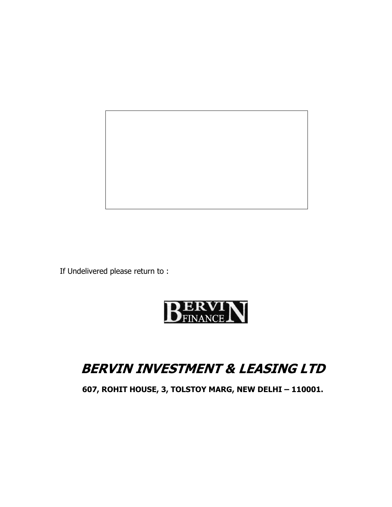

If Undelivered please return to :



# **BERVIN INVESTMENT & LEASING LTD**

# **607, ROHIT HOUSE, 3, TOLSTOY MARG, NEW DELHI – 110001.**